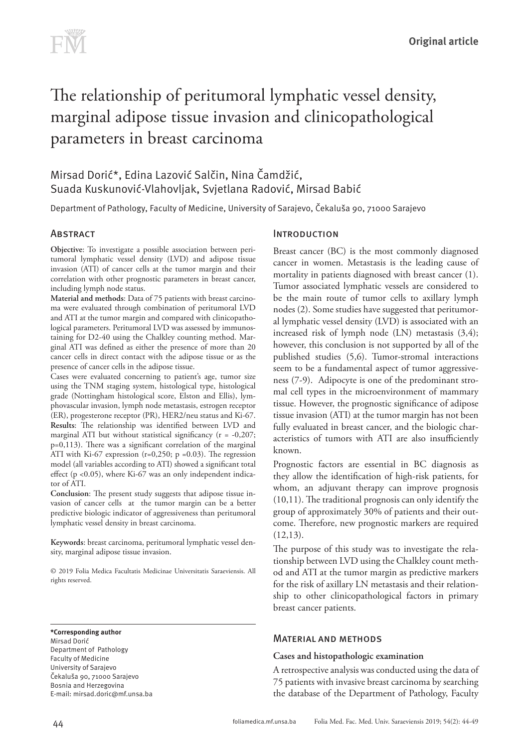# The relationship of peritumoral lymphatic vessel density, marginal adipose tissue invasion and clinicopathological parameters in breast carcinoma

# Mirsad Dorić\*, Edina Lazović Salčin, Nina Čamdžić, Suada Kuskunović-Vlahovljak, Svjetlana Radović, Mirsad Babić

Department of Pathology, Faculty of Medicine, University of Sarajevo, Čekaluša 90, 71000 Sarajevo

# **ABSTRACT**

**Objective**: To investigate a possible association between peritumoral lymphatic vessel density (LVD) and adipose tissue invasion (ATI) of cancer cells at the tumor margin and their correlation with other prognostic parameters in breast cancer, including lymph node status.

**Material and methods**: Data of 75 patients with breast carcinoma were evaluated through combination of peritumoral LVD and ATI at the tumor margin and compared with clinicopathological parameters. Peritumoral LVD was assessed by immunostaining for D2-40 using the Chalkley counting method. Marginal ATI was defined as either the presence of more than 20 cancer cells in direct contact with the adipose tissue or as the presence of cancer cells in the adipose tissue.

Cases were evaluated concerning to patient's age, tumor size using the TNM staging system, histological type, histological grade (Nottingham histological score, Elston and Ellis), lymphovascular invasion, lymph node metastasis, estrogen receptor (ER), progesterone receptor (PR), HER2/neu status and Ki-67. **Results**: The relationship was identified between LVD and marginal ATI but without statistical significancy  $(r = -0.207)$ ; p=0,113). There was a significant correlation of the marginal ATI with Ki-67 expression ( $r=0,250$ ;  $p = 0.03$ ). The regression model (all variables according to ATI) showed a significant total effect (p <0.05), where Ki-67 was an only independent indicator of ATI.

**Conclusion**: The present study suggests that adipose tissue invasion of cancer cells at the tumor margin can be a better predictive biologic indicator of aggressiveness than peritumoral lymphatic vessel density in breast carcinoma.

**Keywords**: breast carcinoma, peritumoral lymphatic vessel density, marginal adipose tissue invasion.

© 2019 Folia Medica Facultatis Medicinae Universitatis Saraeviensis. All rights reserved.

**\*Corresponding author** Mirsad Dorić

Department of Pathology Faculty of Medicine University of Sarajevo Čekaluša 90, 71000 Sarajevo Bosnia and Herzegovina E-mail: mirsad.doric[@mf.unsa.ba](mailto:edina.lazovic@mf.unsa.ba)

#### **INTRODUCTION**

Breast cancer (BC) is the most commonly diagnosed cancer in women. Metastasis is the leading cause of mortality in patients diagnosed with breast cancer (1). Tumor associated lymphatic vessels are considered to be the main route of tumor cells to axillary lymph nodes (2). Some studies have suggested that peritumoral lymphatic vessel density (LVD) is associated with an increased risk of lymph node (LN) metastasis (3,4); however, this conclusion is not supported by all of the published studies (5,6). Tumor-stromal interactions seem to be a fundamental aspect of tumor aggressiveness (7-9). Adipocyte is one of the predominant stromal cell types in the microenvironment of mammary tissue. However, the prognostic significance of adipose tissue invasion (ATI) at the tumor margin has not been fully evaluated in breast cancer, and the biologic characteristics of tumors with ATI are also insufficiently known.

Prognostic factors are essential in BC diagnosis as they allow the identification of high-risk patients, for whom, an adjuvant therapy can improve prognosis (10,11). The traditional prognosis can only identify the group of approximately 30% of patients and their outcome. Therefore, new prognostic markers are required  $(12,13)$ .

The purpose of this study was to investigate the relationship between LVD using the Chalkley count method and ATI at the tumor margin as predictive markers for the risk of axillary LN metastasis and their relationship to other clinicopathological factors in primary breast cancer patients.

#### Material and methods

#### **Cases and histopathologic examination**

A retrospective analysis was conducted using the data of 75 patients with invasive breast carcinoma by searching the database of the Department of Pathology, Faculty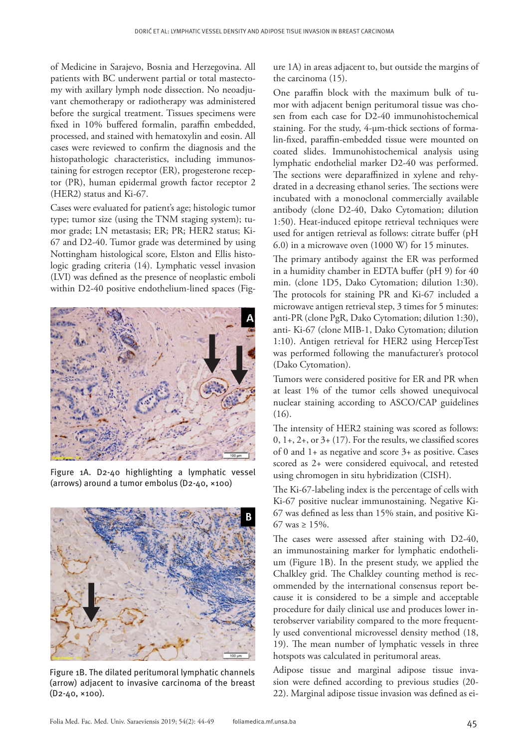of Medicine in Sarajevo, Bosnia and Herzegovina. All patients with BC underwent partial or total mastectomy with axillary lymph node dissection. No neoadjuvant chemotherapy or radiotherapy was administered before the surgical treatment. Tissues specimens were fixed in 10% buffered formalin, paraffin embedded, processed, and stained with hematoxylin and eosin. All cases were reviewed to confirm the diagnosis and the histopathologic characteristics, including immunostaining for estrogen receptor (ER), progesterone receptor (PR), human epidermal growth factor receptor 2 (HER2) status and Ki-67.

Cases were evaluated for patient's age; histologic tumor type; tumor size (using the TNM staging system); tumor grade; LN metastasis; ER; PR; HER2 status; Ki-67 and D2-40. Tumor grade was determined by using Nottingham histological score, Elston and Ellis histologic grading criteria (14). Lymphatic vessel invasion (LVI) was defined as the presence of neoplastic emboli within D2-40 positive endothelium-lined spaces (Fig-



Figure 1A. D2-40 highlighting a lymphatic vessel (arrows) around a tumor embolus (D2-40, ×100)



Figure 1B. The dilated peritumoral lymphatic channels (arrow) adjacent to invasive carcinoma of the breast (D2-40, ×100).

ure 1A) in areas adjacent to, but outside the margins of the carcinoma (15).

One paraffin block with the maximum bulk of tumor with adjacent benign peritumoral tissue was chosen from each case for D2-40 immunohistochemical staining. For the study, 4-µm-thick sections of formalin-fixed, paraffin-embedded tissue were mounted on coated slides. Immunohistochemical analysis using lymphatic endothelial marker D2-40 was performed. The sections were deparaffinized in xylene and rehydrated in a decreasing ethanol series. The sections were incubated with a monoclonal commercially available antibody (clone D2-40, Dako Cytomation; dilution 1:50). Heat-induced epitope retrieval techniques were used for antigen retrieval as follows: citrate buffer (pH 6.0) in a microwave oven (1000 W) for 15 minutes.

The primary antibody against the ER was performed in a humidity chamber in EDTA buffer (pH 9) for 40 min. (clone 1D5, Dako Cytomation; dilution 1:30). The protocols for staining PR and Ki-67 included a microwave antigen retrieval step, 3 times for 5 minutes: anti-PR (clone PgR, Dako Cytomation; dilution 1:30), anti- Ki-67 (clone MIB-1, Dako Cytomation; dilution 1:10). Antigen retrieval for HER2 using HercepTest was performed following the manufacturer's protocol (Dako Cytomation).

Tumors were considered positive for ER and PR when at least 1% of the tumor cells showed unequivocal nuclear staining according to ASCO/CAP guidelines (16).

The intensity of HER2 staining was scored as follows:  $0, 1+, 2+,$  or  $3+(17)$ . For the results, we classified scores of 0 and 1+ as negative and score 3+ as positive. Cases scored as 2+ were considered equivocal, and retested using chromogen in situ hybridization (CISH).

The Ki-67-labeling index is the percentage of cells with Ki-67 positive nuclear immunostaining. Negative Ki-67 was defined as less than 15% stain, and positive Ki-67 was  $\geq 15\%$ .

The cases were assessed after staining with D2-40, an immunostaining marker for lymphatic endothelium (Figure 1B). In the present study, we applied the Chalkley grid. The Chalkley counting method is recommended by the international consensus report because it is considered to be a simple and acceptable procedure for daily clinical use and produces lower interobserver variability compared to the more frequently used conventional microvessel density method (18, 19). The mean number of lymphatic vessels in three hotspots was calculated in peritumoral areas.

Adipose tissue and marginal adipose tissue invasion were defined according to previous studies (20- 22). Marginal adipose tissue invasion was defined as ei-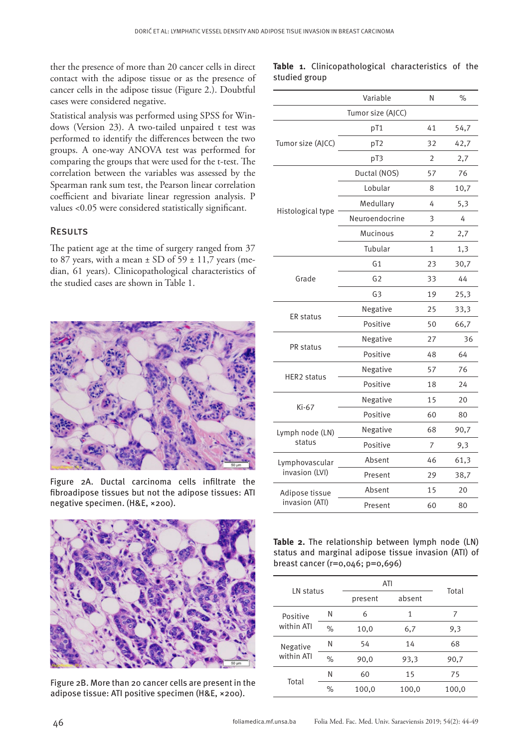ther the presence of more than 20 cancer cells in direct contact with the adipose tissue or as the presence of cancer cells in the adipose tissue (Figure 2.). Doubtful cases were considered negative.

Statistical analysis was performed using SPSS for Windows (Version 23). A two-tailed unpaired t test was performed to identify the differences between the two groups. A one-way ANOVA test was performed for comparing the groups that were used for the t-test. The correlation between the variables was assessed by the Spearman rank sum test, the Pearson linear correlation coefficient and bivariate linear regression analysis. P values <0.05 were considered statistically significant.

# Results

The patient age at the time of surgery ranged from 37 to 87 years, with a mean  $\pm$  SD of 59  $\pm$  11,7 years (median, 61 years). Clinicopathological characteristics of the studied cases are shown in Table 1.



Figure 2A. Ductal carcinoma cells infiltrate the fibroadipose tissues but not the adipose tissues: ATI negative specimen. (H&E, ×200).



Figure 2B. More than 20 cancer cells are present in the adipose tissue: ATI positive specimen (H&E, ×200).

**Table 1.** Clinicopathological characteristics of the studied group

|                    | Variable                   | N            | $\%$ |
|--------------------|----------------------------|--------------|------|
|                    | Tumor size (AJCC)          |              |      |
|                    | pT1                        | 41           | 54,7 |
| Tumor size (AJCC)  | pT <sub>2</sub>            | 32           | 42,7 |
|                    | pT3                        | 2            | 2,7  |
|                    | Ductal (NOS)               | 57           | 76   |
|                    | Lobular<br>8               |              | 10,7 |
|                    | Medullary<br>4             |              | 5,3  |
| Histological type  | Neuroendocrine<br>3        |              | 4    |
|                    | Mucinous<br>$\overline{2}$ |              | 2,7  |
|                    | Tubular                    | $\mathbf{1}$ | 1,3  |
|                    | G1                         | 23           | 30,7 |
| Grade              | G <sub>2</sub>             | 33           | 44   |
|                    | G3                         | 19           | 25,3 |
|                    | Negative                   | 25           | 33,3 |
| ER status          | Positive                   | 50           | 66,7 |
|                    | Negative                   | 27           | 36   |
| PR status          | Positive                   | 48           | 64   |
|                    | Negative                   | 57           | 76   |
| <b>HER2</b> status | Positive                   | 18           | 24   |
|                    | Negative                   | 15           | 20   |
| $Ki-67$            | Positive                   | 60           | 80   |
| Lymph node (LN)    | Negative                   | 68           | 90,7 |
| status             | Positive                   | 7            | 9,3  |
| Lymphovascular     | Absent                     | 46           | 61,3 |
| invasion (LVI)     | Present                    | 29           | 38,7 |
| Adipose tissue     | Absent                     | 15           | 20   |
| invasion (ATI)     | Present                    | 60           | 80   |

**Table 2.** The relationship between lymph node (LN) status and marginal adipose tissue invasion (ATI) of breast cancer (r=0,046; p=0,696)

| LN status              |      | ATI     |        |       |
|------------------------|------|---------|--------|-------|
|                        |      | present | absent | Total |
| Positive<br>within ATI | Ν    | 6       | 1      | 7     |
|                        | $\%$ | 10,0    | 6,7    | 9,3   |
| Negative<br>within ATI | N    | 54      | 14     | 68    |
|                        | $\%$ | 90,0    | 93,3   | 90,7  |
| Total                  | Ν    | 60      | 15     | 75    |
|                        | $\%$ | 100,0   | 100,0  | 100,0 |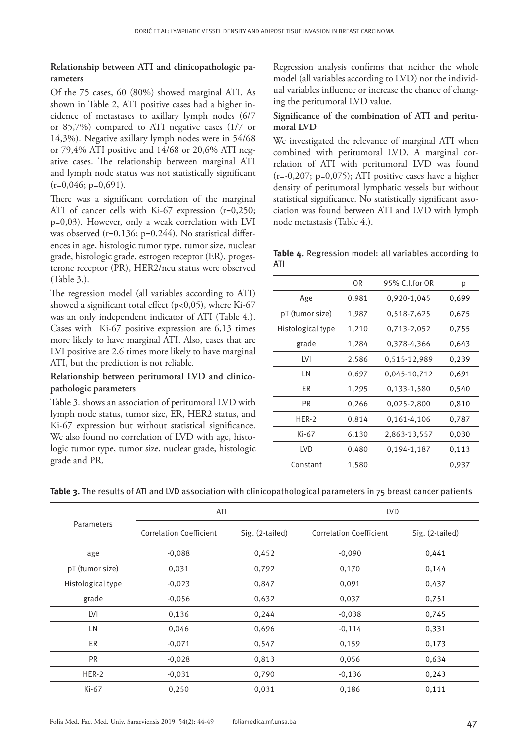# **Relationship between ATI and clinicopathologic parameters**

Of the 75 cases, 60 (80%) showed marginal ATI. As shown in Table 2, ATI positive cases had a higher incidence of metastases to axillary lymph nodes (6/7 or 85,7%) compared to ATI negative cases (1/7 or 14,3%). Negative axillary lymph nodes were in 54/68 or 79,4% ATI positive and 14/68 or 20,6% ATI negative cases. The relationship between marginal ATI and lymph node status was not statistically significant  $(r=0.046; p=0.691)$ .

There was a significant correlation of the marginal ATI of cancer cells with Ki-67 expression (r=0,250; p=0,03). However, only a weak correlation with LVI was observed (r=0,136; p=0,244). No statistical differences in age, histologic tumor type, tumor size, nuclear grade, histologic grade, estrogen receptor (ER), progesterone receptor (PR), HER2/neu status were observed (Table 3.).

The regression model (all variables according to ATI) showed a significant total effect (p<0,05), where Ki-67 was an only independent indicator of ATI (Table 4.). Cases with Ki-67 positive expression are 6,13 times more likely to have marginal ATI. Also, cases that are LVI positive are 2,6 times more likely to have marginal ATI, but the prediction is not reliable.

# **Relationship between peritumoral LVD and clinicopathologic parameters**

Table 3. shows an association of peritumoral LVD with lymph node status, tumor size, ER, HER2 status, and Ki-67 expression but without statistical significance. We also found no correlation of LVD with age, histologic tumor type, tumor size, nuclear grade, histologic grade and PR.

Regression analysis confirms that neither the whole model (all variables according to LVD) nor the individual variables influence or increase the chance of changing the peritumoral LVD value.

# **Significance of the combination of ATI and peritumoral LVD**

We investigated the relevance of marginal ATI when combined with peritumoral LVD. A marginal correlation of ATI with peritumoral LVD was found  $(r=-0,207; p=0,075)$ ; ATI positive cases have a higher density of peritumoral lymphatic vessels but without statistical significance. No statistically significant association was found between ATI and LVD with lymph node metastasis (Table 4.).

**Table 4.** Regression model: all variables according to ATI

|                   | 0R    | 95% C.I.for OR | р     |
|-------------------|-------|----------------|-------|
| Age               | 0,981 | 0,920-1,045    | 0,699 |
| pT (tumor size)   | 1,987 | 0,518-7,625    | 0,675 |
| Histological type | 1,210 | 0,713-2,052    | 0,755 |
| grade             | 1,284 | 0,378-4,366    | 0,643 |
| LVI               | 2,586 | 0,515-12,989   | 0,239 |
| LN                | 0,697 | 0,045-10,712   | 0,691 |
| ER                | 1,295 | 0,133-1,580    | 0,540 |
| PR                | 0,266 | 0,025-2,800    | 0,810 |
| HER-2             | 0,814 | 0,161-4,106    | 0,787 |
| $Ki-67$           | 6,130 | 2,863-13,557   | 0,030 |
| LVD               | 0,480 | 0,194-1,187    | 0,113 |
| Constant          | 1,580 |                | 0,937 |
|                   |       |                |       |

| Parameters        | ATI                            |                 | <b>LVD</b>                     |                 |
|-------------------|--------------------------------|-----------------|--------------------------------|-----------------|
|                   | <b>Correlation Coefficient</b> | Sig. (2-tailed) | <b>Correlation Coefficient</b> | Sig. (2-tailed) |
| age               | $-0,088$                       | 0,452           | $-0,090$                       | 0,441           |
| pT (tumor size)   | 0,031                          | 0,792           | 0,170                          | 0,144           |
| Histological type | $-0,023$                       | 0,847           | 0,091                          | 0,437           |
| grade             | $-0,056$                       | 0,632           | 0,037                          | 0,751           |
| <b>LVI</b>        | 0,136                          | 0,244           | $-0.038$                       | 0,745           |
| LN                | 0,046                          | 0,696           | $-0,114$                       | 0,331           |
| ER                | $-0,071$                       | 0,547           | 0,159                          | 0,173           |
| <b>PR</b>         | $-0,028$                       | 0,813           | 0,056                          | 0,634           |
| HER-2             | $-0,031$                       | 0,790           | $-0,136$                       | 0,243           |
| Ki-67             | 0,250                          | 0,031           | 0,186                          | 0,111           |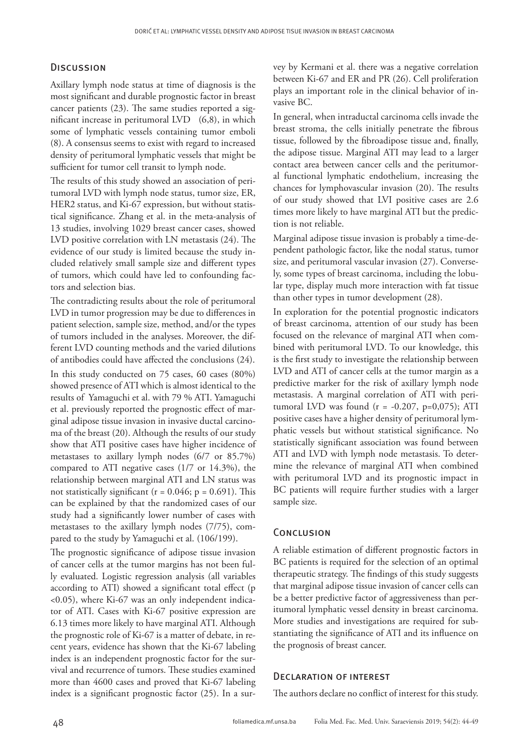#### **DISCUSSION**

Axillary lymph node status at time of diagnosis is the most significant and durable prognostic factor in breast cancer patients (23). The same studies reported a significant increase in peritumoral LVD (6,8), in which some of lymphatic vessels containing tumor emboli (8). A consensus seems to exist with regard to increased density of peritumoral lymphatic vessels that might be sufficient for tumor cell transit to lymph node.

The results of this study showed an association of peritumoral LVD with lymph node status, tumor size, ER, HER2 status, and Ki-67 expression, but without statistical significance. Zhang et al. in the meta-analysis of 13 studies, involving 1029 breast cancer cases, showed LVD positive correlation with LN metastasis (24). The evidence of our study is limited because the study included relatively small sample size and different types of tumors, which could have led to confounding factors and selection bias.

The contradicting results about the role of peritumoral LVD in tumor progression may be due to differences in patient selection, sample size, method, and/or the types of tumors included in the analyses. Moreover, the different LVD counting methods and the varied dilutions of antibodies could have affected the conclusions (24). In this study conducted on 75 cases, 60 cases (80%) showed presence of ATI which is almost identical to the results of Yamaguchi et al. with 79 % ATI. Yamaguchi et al. previously reported the prognostic effect of marginal adipose tissue invasion in invasive ductal carcinoma of the breast (20). Although the results of our study show that ATI positive cases have higher incidence of metastases to axillary lymph nodes (6/7 or 85.7%) compared to ATI negative cases (1/7 or 14.3%), the relationship between marginal ATI and LN status was not statistically significant ( $r = 0.046$ ;  $p = 0.691$ ). This can be explained by that the randomized cases of our

study had a significantly lower number of cases with metastases to the axillary lymph nodes (7/75), compared to the study by Yamaguchi et al. (106/199). The prognostic significance of adipose tissue invasion

of cancer cells at the tumor margins has not been fully evaluated. Logistic regression analysis (all variables according to ATI) showed a significant total effect (p <0.05), where Ki-67 was an only independent indicator of ATI. Cases with Ki-67 positive expression are 6.13 times more likely to have marginal ATI. Although the prognostic role of Ki-67 is a matter of debate, in recent years, evidence has shown that the Ki-67 labeling index is an independent prognostic factor for the survival and recurrence of tumors. These studies examined more than 4600 cases and proved that Ki-67 labeling index is a significant prognostic factor (25). In a survey by Kermani et al. there was a negative correlation between Ki-67 and ER and PR (26). Cell proliferation plays an important role in the clinical behavior of invasive BC.

In general, when intraductal carcinoma cells invade the breast stroma, the cells initially penetrate the fibrous tissue, followed by the fibroadipose tissue and, finally, the adipose tissue. Marginal ATI may lead to a larger contact area between cancer cells and the peritumoral functional lymphatic endothelium, increasing the chances for lymphovascular invasion (20). The results of our study showed that LVI positive cases are 2.6 times more likely to have marginal ATI but the prediction is not reliable.

Marginal adipose tissue invasion is probably a time-dependent pathologic factor, like the nodal status, tumor size, and peritumoral vascular invasion (27). Conversely, some types of breast carcinoma, including the lobular type, display much more interaction with fat tissue than other types in tumor development (28).

In exploration for the potential prognostic indicators of breast carcinoma, attention of our study has been focused on the relevance of marginal ATI when combined with peritumoral LVD. To our knowledge, this is the first study to investigate the relationship between LVD and ATI of cancer cells at the tumor margin as a predictive marker for the risk of axillary lymph node metastasis. A marginal correlation of ATI with peritumoral LVD was found  $(r = -0.207, p=0.075)$ ; ATI positive cases have a higher density of peritumoral lymphatic vessels but without statistical significance. No statistically significant association was found between ATI and LVD with lymph node metastasis. To determine the relevance of marginal ATI when combined with peritumoral LVD and its prognostic impact in BC patients will require further studies with a larger sample size.

#### **CONCLUSION**

A reliable estimation of different prognostic factors in BC patients is required for the selection of an optimal therapeutic strategy. The findings of this study suggests that marginal adipose tissue invasion of cancer cells can be a better predictive factor of aggressiveness than peritumoral lymphatic vessel density in breast carcinoma. More studies and investigations are required for substantiating the significance of ATI and its influence on the prognosis of breast cancer.

#### Declaration of interest

The authors declare no conflict of interest for this study.